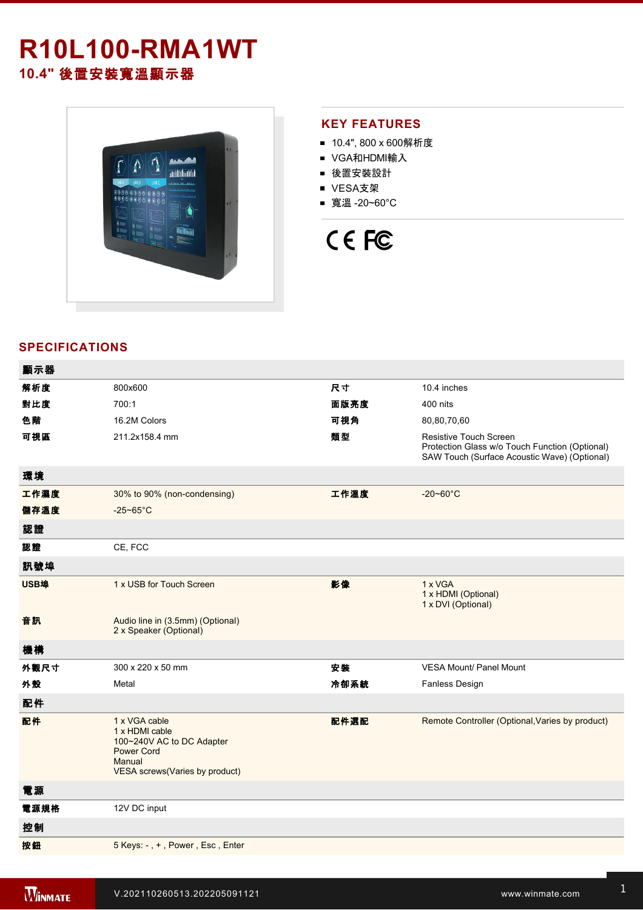## **R10L100RMA1WT 10.4"** 後置安裝寬溫顯示器



#### **KEY FEATURES**

- 10.4", 800 x 600解析度
- VGA和HDMI輸入
- 後置安裝設計
- VESA支架
- 寬溫 -20~60°C

# CE FC

#### **SPECIFICATIONS**

| 顯示器  |                                                                                                                               |      |                                                                                                                                 |
|------|-------------------------------------------------------------------------------------------------------------------------------|------|---------------------------------------------------------------------------------------------------------------------------------|
| 解析度  | 800x600                                                                                                                       | 尺寸   | 10.4 inches                                                                                                                     |
| 對比度  | 700:1                                                                                                                         | 面版亮度 | 400 nits                                                                                                                        |
| 色階   | 16.2M Colors                                                                                                                  | 可視角  | 80,80,70,60                                                                                                                     |
| 可視區  | 211.2x158.4 mm                                                                                                                | 類型   | <b>Resistive Touch Screen</b><br>Protection Glass w/o Touch Function (Optional)<br>SAW Touch (Surface Acoustic Wave) (Optional) |
| 環境   |                                                                                                                               |      |                                                                                                                                 |
| 工作濕度 | 30% to 90% (non-condensing)                                                                                                   | 工作溫度 | $-20 - 60^{\circ}$ C                                                                                                            |
| 儲存溫度 | $-25 - 65$ °C                                                                                                                 |      |                                                                                                                                 |
| 認證   |                                                                                                                               |      |                                                                                                                                 |
| 認證   | CE, FCC                                                                                                                       |      |                                                                                                                                 |
| 訊號埠  |                                                                                                                               |      |                                                                                                                                 |
| USB埠 | 1 x USB for Touch Screen                                                                                                      | 影像   | 1 x VGA<br>1 x HDMI (Optional)<br>1 x DVI (Optional)                                                                            |
| 音訊   | Audio line in (3.5mm) (Optional)<br>2 x Speaker (Optional)                                                                    |      |                                                                                                                                 |
| 機構   |                                                                                                                               |      |                                                                                                                                 |
| 外觀尺寸 | 300 x 220 x 50 mm                                                                                                             | 安裝   | <b>VESA Mount/ Panel Mount</b>                                                                                                  |
| 外殼   | Metal                                                                                                                         | 冷卻系統 | <b>Fanless Design</b>                                                                                                           |
| 配件   |                                                                                                                               |      |                                                                                                                                 |
| 配件   | 1 x VGA cable<br>1 x HDMI cable<br>100~240V AC to DC Adapter<br><b>Power Cord</b><br>Manual<br>VESA screws(Varies by product) | 配件選配 | Remote Controller (Optional, Varies by product)                                                                                 |
| 電源   |                                                                                                                               |      |                                                                                                                                 |
| 電源規格 | 12V DC input                                                                                                                  |      |                                                                                                                                 |
| 控制   |                                                                                                                               |      |                                                                                                                                 |
| 按鈕   | 5 Keys: -, +, Power, Esc, Enter                                                                                               |      |                                                                                                                                 |